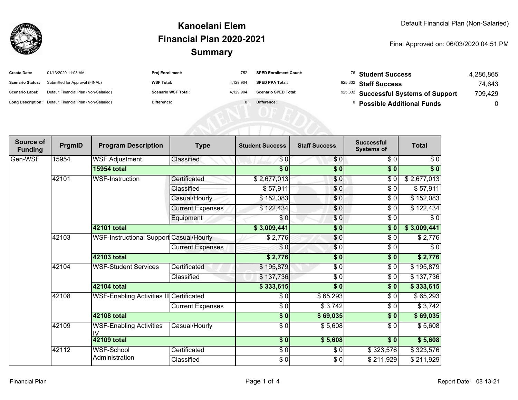

## **SummaryKanoelani ElemFinancial Plan 2020-2021**

#### Final Approved on: 06/03/2020 04:51 PM

| <b>Create Date:</b>     | 01/13/2020 11:08 AM                                     | <b>Proj Enrollment:</b>    | 752       | <b>SPED Enrollment Count:</b> | <sup>76</sup> Student Success         | 4,286,865 |
|-------------------------|---------------------------------------------------------|----------------------------|-----------|-------------------------------|---------------------------------------|-----------|
| <b>Scenario Status:</b> | Submitted for Approval (FINAL)                          | <b>WSF Total:</b>          | 4.129.904 | <b>SPED PPA Total:</b>        | 925,332 Staff Success                 | 74.643    |
| <b>Scenario Label:</b>  | Default Financial Plan (Non-Salaried)                   | <b>Scenario WSF Total:</b> | 4.129.904 | <b>Scenario SPED Total:</b>   | 925,332 Successful Systems of Support | 709.429   |
|                         | Long Description: Default Financial Plan (Non-Salaried) | <b>Difference:</b>         |           | Difference:                   | <b>Possible Additional Funds</b>      |           |

| Source of<br><b>Funding</b> | PrgmID             | <b>Program Description</b>               | <b>Type</b>             | <b>Student Success</b> | <b>Staff Success</b> | <b>Successful</b><br><b>Systems of</b> | <b>Total</b> |
|-----------------------------|--------------------|------------------------------------------|-------------------------|------------------------|----------------------|----------------------------------------|--------------|
| Gen-WSF                     | 15954              | <b>WSF Adjustment</b>                    | Classified              | \$0                    | \$0                  | \$0                                    | $\sqrt{6}$   |
|                             |                    | <b>15954 total</b>                       |                         | $\sqrt{6}$             | $\sqrt{6}$           | \$0                                    | $\sqrt[6]{}$ |
|                             | 42101              | WSF-Instruction                          | Certificated            | \$2,677,013            | \$0                  | \$0                                    | \$2,677,013  |
|                             |                    |                                          | Classified              | \$57,911               | \$0                  | $\sqrt{6}$                             | \$57,911     |
|                             |                    |                                          | Casual/Hourly           | \$152,083              | \$0                  | \$0                                    | \$152,083    |
|                             |                    |                                          | <b>Current Expenses</b> | \$122,434              | $\frac{6}{6}$        | $\sqrt{6}$                             | \$122,434    |
|                             |                    |                                          | Equipment               | \$0                    | $\frac{6}{6}$        | $\sqrt{3}$                             | $\sqrt{6}$   |
|                             |                    | 42101 total                              |                         | \$3,009,441            | \$0                  | \$0                                    | \$3,009,441  |
|                             | 42103              | WSF-Instructional Support Casual/Hourly  |                         | \$2,776                | \$0                  | \$0                                    | \$2,776      |
|                             |                    |                                          | <b>Current Expenses</b> | \$0                    | $\sqrt{6}$           | \$0                                    | \$0          |
|                             |                    | 42103 total                              |                         | \$2,776                | \$0                  | \$0                                    | \$2,776      |
|                             | 42104              | <b>WSF-Student Services</b>              | Certificated            | \$195,879              | \$0                  | \$0                                    | \$195,879    |
|                             |                    |                                          | Classified              | \$137,736              | \$0                  | $\sqrt{6}$                             | \$137,736    |
|                             |                    | 42104 total                              |                         | \$333,615              | \$0                  | \$0                                    | \$333,615    |
|                             | 42108              | WSF-Enabling Activities III Certificated |                         | \$0                    | \$65,293             | \$0                                    | \$65,293     |
|                             |                    |                                          | <b>Current Expenses</b> | \$0                    | \$3,742              | \$0                                    | \$3,742      |
|                             | <b>42108 total</b> |                                          |                         | $\frac{1}{2}$          | \$69,035             | $\sqrt{6}$                             | \$69,035     |
|                             | 42109              | <b>WSF-Enabling Activities</b><br>IV     | Casual/Hourly           | $\frac{3}{2}$          | \$5,608              | \$0                                    | \$5,608      |
|                             |                    | <b>42109 total</b>                       |                         | $\sqrt{6}$             | \$5,608              | \$0                                    | \$5,608      |
|                             | 42112              | WSF-School                               | Certificated            | $\frac{3}{6}$          | \$0                  | \$323,576                              | \$323,576    |
|                             |                    | Administration                           | Classified              | $\frac{1}{6}$          | \$0                  | \$211,929                              | \$211,929    |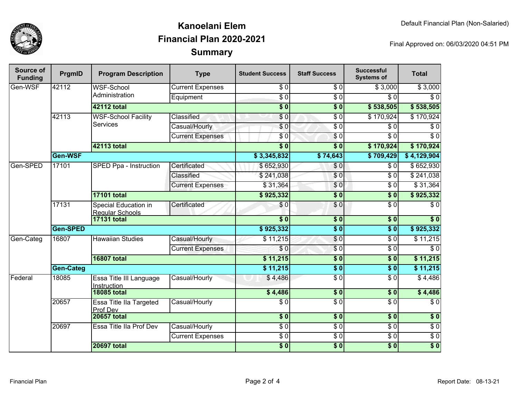

## **SummaryKanoelani ElemFinancial Plan 2020-2021**

Final Approved on: 06/03/2020 04:51 PM

| Source of<br><b>Funding</b> | PrgmID    | <b>Program Description</b>                     | <b>Type</b>             | <b>Student Success</b> | <b>Staff Success</b>   | <b>Successful</b><br><b>Systems of</b> | <b>Total</b>     |          |
|-----------------------------|-----------|------------------------------------------------|-------------------------|------------------------|------------------------|----------------------------------------|------------------|----------|
| Gen-WSF                     | 42112     | <b>WSF-School</b><br>Administration            | <b>Current Expenses</b> | \$0                    | \$0                    | \$3,000                                | \$3,000          |          |
|                             |           |                                                | Equipment               | $\overline{\$0}$       | $\sqrt{6}$             | \$0                                    | \$0              |          |
|                             |           | <b>42112 total</b>                             |                         | $\overline{\$0}$       | $\overline{\$0}$       | \$538,505                              | \$538,505        |          |
|                             | 42113     | <b>WSF-School Facility</b><br><b>Services</b>  | <b>Classified</b>       | \$0                    | $\overline{\$0}$       | \$170,924                              | \$170,924        |          |
|                             |           |                                                | Casual/Hourly           | \$0                    | $\overline{50}$        | \$0                                    | $\overline{\$0}$ |          |
|                             |           |                                                | <b>Current Expenses</b> | \$0                    | $\sqrt{6}$             | \$0                                    | $\overline{\$0}$ |          |
|                             |           | 42113 total                                    |                         | $\overline{\$0}$       | $\overline{\bullet}$ 0 | \$170,924                              | \$170,924        |          |
|                             | Gen-WSF   |                                                |                         | \$3,345,832            | \$74,643               | \$709,429                              | \$4,129,904      |          |
| Gen-SPED                    | 17101     | SPED Ppa - Instruction                         | Certificated            | \$652,930              | \$0                    | \$0                                    | \$652,930        |          |
|                             |           |                                                | Classified              | \$241,038              | $\overline{\$0}$       | $\overline{30}$                        | \$241,038        |          |
|                             |           |                                                | <b>Current Expenses</b> | \$31,364               | $\frac{6}{3}$          | $\overline{30}$                        | \$31,364         |          |
|                             |           | <b>17101 total</b>                             |                         | \$925,332              | $\overline{\$0}$       | $\overline{\$0}$                       | \$925,332        |          |
|                             | 17131     | Special Education in<br><b>Regular Schools</b> | Certificated            | \$0                    | \$0                    | $\overline{\$0}$                       | \$0              |          |
|                             |           | <b>17131 total</b>                             |                         | $\overline{\bullet}$ 0 | \$0                    | \$0                                    | $\overline{\$0}$ |          |
|                             | Gen-SPED  |                                                |                         | \$925,332              | $\overline{\$0}$       | $\overline{\$0}$                       | \$925,332        |          |
| Gen-Categ                   | 16807     |                                                | <b>Hawaiian Studies</b> | Casual/Hourly          | \$11,215               | $\frac{1}{6}$                          | $\overline{\$0}$ | \$11,215 |
|                             |           |                                                | <b>Current Expenses</b> | \$0                    | $\sqrt{6}$             | $\overline{30}$                        | $\overline{\$0}$ |          |
|                             |           | <b>16807 total</b>                             |                         | \$11,215               | $\sqrt{6}$             | $\overline{\$0}$                       | \$11,215         |          |
|                             | Gen-Categ |                                                |                         | \$11,215               | $\overline{\$0}$       | $\overline{\$0}$                       | \$11,215         |          |
| Federal                     | 18085     | Essa Title III Language<br>Instruction         | Casual/Hourly           | \$4,486                | $\sqrt{6}$             | $\overline{\$0}$                       | \$4,486          |          |
|                             |           | <b>18085 total</b>                             |                         | \$4,486                | $\frac{1}{2}$          | $\overline{\$0}$                       | \$4,486          |          |
|                             | 20657     | Essa Title IIa Targeted<br>Prof Dev            | Casual/Hourly           | $\frac{1}{\epsilon}$   | \$0                    | $\overline{S}0$                        | $\overline{S}0$  |          |
|                             |           | <b>20657 total</b>                             |                         | $\overline{\$0}$       | $\overline{\$0}$       | $\overline{\$0}$                       | $\overline{\$0}$ |          |
|                             | 20697     | Essa Title IIa Prof Dev                        | Casual/Hourly           | $\sqrt{6}$             | $\sqrt{6}$             | $\overline{\$0}$                       | $\overline{$}0$  |          |
|                             |           |                                                | <b>Current Expenses</b> | $\overline{30}$        | $\sqrt{6}$             | $\overline{30}$                        | $\overline{$}0$  |          |
|                             |           | <b>20697 total</b>                             |                         | $\overline{\$0}$       | $\overline{\$0}$       | $\overline{\$0}$                       | $\overline{\$0}$ |          |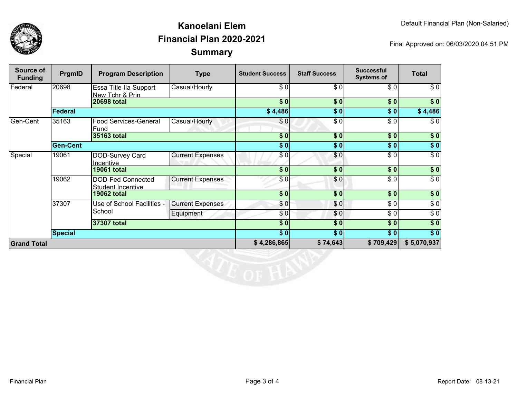

## **SummaryKanoelani ElemFinancial Plan 2020-2021**

Final Approved on: 06/03/2020 04:51 PM

| Source of<br><b>Funding</b> | PrgmID          | <b>Program Description</b>                    | <b>Type</b>             | <b>Student Success</b> | <b>Staff Success</b>                 | <b>Successful</b><br><b>Systems of</b> | <b>Total</b> |
|-----------------------------|-----------------|-----------------------------------------------|-------------------------|------------------------|--------------------------------------|----------------------------------------|--------------|
| Federal                     | 20698           | Essa Title IIa Support<br>New Tchr & Prin     | Casual/Hourly           | \$0                    | \$0                                  | \$0                                    | \$0          |
|                             |                 | <b>20698 total</b>                            |                         | \$0                    | \$0                                  | \$0                                    | \$0          |
|                             | <b>Federal</b>  |                                               |                         | \$4,486                | \$0                                  | \$0                                    | \$4,486      |
| Gen-Cent                    | 35163           | <b>Food Services-General</b><br>Fund          | Casual/Hourly           | \$0                    | $\overline{\$0}$                     | \$0                                    | \$0          |
|                             |                 | 35163 total                                   |                         | \$0                    | \$0                                  | \$0                                    | \$0          |
|                             | <b>Gen-Cent</b> |                                               |                         | \$0                    | \$0                                  | \$0                                    | $\sqrt{6}$   |
| Special                     | 19061           | DOD-Survey Card<br>Incentive                  | <b>Current Expenses</b> | \$0                    | \$0                                  | \$0                                    | $\sqrt{6}$   |
|                             |                 | <b>19061 total</b>                            |                         | $\overline{\$0}$       | $\overline{\$0}$                     | 30                                     | $\sqrt{50}$  |
|                             | 19062           | DOD-Fed Connected<br><b>Student Incentive</b> | <b>Current Expenses</b> | \$0                    | \$0                                  | \$0                                    | $\sqrt{6}$   |
|                             |                 | <b>19062 total</b>                            |                         | \$0]                   | \$0                                  | s <sub>0</sub>                         | \$0          |
|                             | 37307           | Use of School Facilities -<br>School          | <b>Current Expenses</b> | \$0                    | \$0                                  | $\overline{\$0}$                       | $\sqrt{6}$   |
|                             |                 |                                               | Equipment               | \$0                    | \$0                                  | $\overline{\$0}$                       | $\sqrt{6}$   |
|                             | 37307 total     |                                               |                         | $\sqrt{5}$             | \$0                                  | \$0                                    | $\sqrt{ }$   |
|                             | <b>Special</b>  |                                               |                         | s <sub>0</sub>         | $\vert \mathbf{\$}\ \mathbf{0}\vert$ | \$0                                    | $\sqrt{ }$   |
| <b>Grand Total</b>          |                 |                                               | \$4,286,865             | \$74,643               | \$709,429                            | \$5,070,937                            |              |